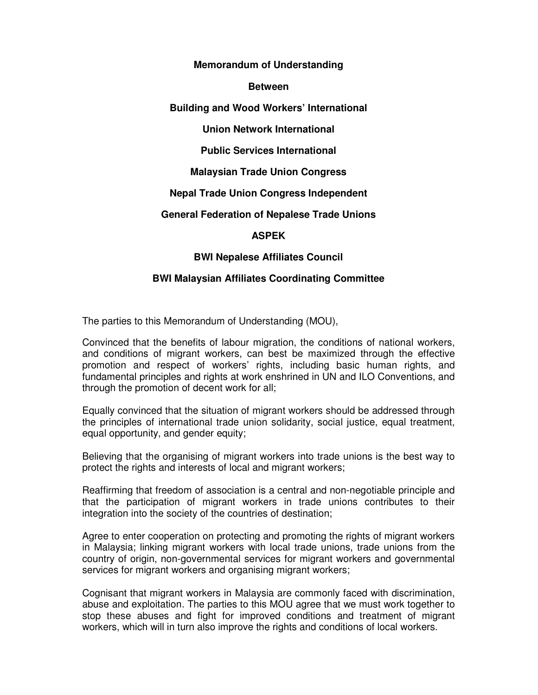#### **Memorandum of Understanding**

#### **Between**

## **Building and Wood Workers' International**

# **Union Network International**

## **Public Services International**

## **Malaysian Trade Union Congress**

## **Nepal Trade Union Congress Independent**

#### **General Federation of Nepalese Trade Unions**

## **ASPEK**

## **BWI Nepalese Affiliates Council**

## **BWI Malaysian Affiliates Coordinating Committee**

The parties to this Memorandum of Understanding (MOU),

Convinced that the benefits of labour migration, the conditions of national workers, and conditions of migrant workers, can best be maximized through the effective promotion and respect of workers' rights, including basic human rights, and fundamental principles and rights at work enshrined in UN and ILO Conventions, and through the promotion of decent work for all;

Equally convinced that the situation of migrant workers should be addressed through the principles of international trade union solidarity, social justice, equal treatment, equal opportunity, and gender equity;

Believing that the organising of migrant workers into trade unions is the best way to protect the rights and interests of local and migrant workers;

Reaffirming that freedom of association is a central and non-negotiable principle and that the participation of migrant workers in trade unions contributes to their integration into the society of the countries of destination;

Agree to enter cooperation on protecting and promoting the rights of migrant workers in Malaysia; linking migrant workers with local trade unions, trade unions from the country of origin, non-governmental services for migrant workers and governmental services for migrant workers and organising migrant workers;

Cognisant that migrant workers in Malaysia are commonly faced with discrimination, abuse and exploitation. The parties to this MOU agree that we must work together to stop these abuses and fight for improved conditions and treatment of migrant workers, which will in turn also improve the rights and conditions of local workers.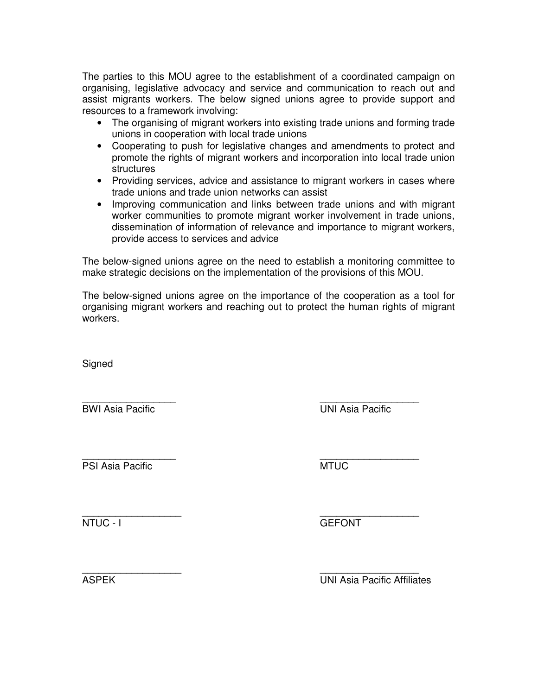The parties to this MOU agree to the establishment of a coordinated campaign on organising, legislative advocacy and service and communication to reach out and assist migrants workers. The below signed unions agree to provide support and resources to a framework involving:

- The organising of migrant workers into existing trade unions and forming trade unions in cooperation with local trade unions
- Cooperating to push for legislative changes and amendments to protect and promote the rights of migrant workers and incorporation into local trade union structures
- Providing services, advice and assistance to migrant workers in cases where trade unions and trade union networks can assist
- Improving communication and links between trade unions and with migrant worker communities to promote migrant worker involvement in trade unions, dissemination of information of relevance and importance to migrant workers, provide access to services and advice

The below-signed unions agree on the need to establish a monitoring committee to make strategic decisions on the implementation of the provisions of this MOU.

The below-signed unions agree on the importance of the cooperation as a tool for organising migrant workers and reaching out to protect the human rights of migrant workers.

**Signed** 

\_\_\_\_\_\_\_\_\_\_\_\_\_\_\_\_\_ \_\_\_\_\_\_\_\_\_\_\_\_\_\_\_\_\_\_ BWI Asia Pacific UNI Asia Pacific

\_\_\_\_\_\_\_\_\_\_\_\_\_\_\_\_\_ \_\_\_\_\_\_\_\_\_\_\_\_\_\_\_\_\_\_ PSI Asia Pacific **MTUC** 

\_\_\_\_\_\_\_\_\_\_\_\_\_\_\_\_\_\_ \_\_\_\_\_\_\_\_\_\_\_\_\_\_\_\_\_\_ NTUC - I GEFONT

\_\_\_\_\_\_\_\_\_\_\_\_\_\_\_\_\_\_ \_\_\_\_\_\_\_\_\_\_\_\_\_\_\_\_\_\_ ASPEK UNI Asia Pacific Affiliates